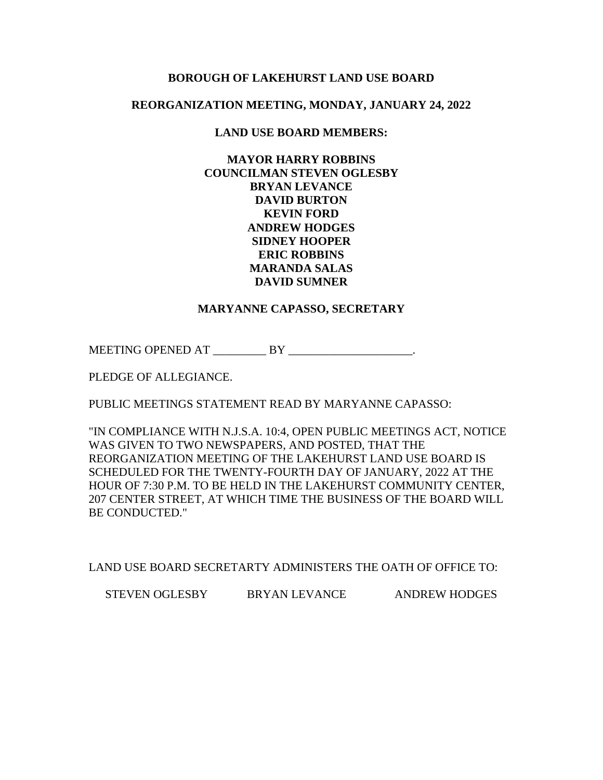# **BOROUGH OF LAKEHURST LAND USE BOARD**

# **REORGANIZATION MEETING, MONDAY, JANUARY 24, 2022**

# **LAND USE BOARD MEMBERS:**

**MAYOR HARRY ROBBINS COUNCILMAN STEVEN OGLESBY BRYAN LEVANCE DAVID BURTON KEVIN FORD ANDREW HODGES SIDNEY HOOPER ERIC ROBBINS MARANDA SALAS DAVID SUMNER**

## **MARYANNE CAPASSO, SECRETARY**

MEETING OPENED AT \_\_\_\_\_\_\_\_\_ BY \_\_\_\_\_\_\_\_\_\_\_\_\_\_\_\_\_\_\_\_\_.

PLEDGE OF ALLEGIANCE.

PUBLIC MEETINGS STATEMENT READ BY MARYANNE CAPASSO:

"IN COMPLIANCE WITH N.J.S.A. 10:4, OPEN PUBLIC MEETINGS ACT, NOTICE WAS GIVEN TO TWO NEWSPAPERS, AND POSTED, THAT THE REORGANIZATION MEETING OF THE LAKEHURST LAND USE BOARD IS SCHEDULED FOR THE TWENTY-FOURTH DAY OF JANUARY, 2022 AT THE HOUR OF 7:30 P.M. TO BE HELD IN THE LAKEHURST COMMUNITY CENTER, 207 CENTER STREET, AT WHICH TIME THE BUSINESS OF THE BOARD WILL BE CONDUCTED."

LAND USE BOARD SECRETARTY ADMINISTERS THE OATH OF OFFICE TO:

STEVEN OGLESBY BRYAN LEVANCE ANDREW HODGES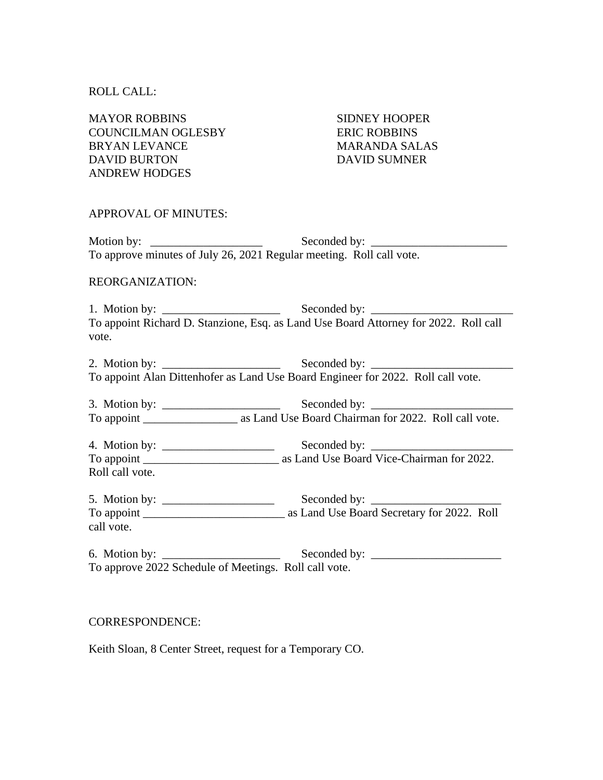## ROLL CALL:

MAYOR ROBBINS SIDNEY HOOPER COUNCILMAN OGLESBY ERIC ROBBINS BRYAN LEVANCE MARANDA SALAS DAVID BURTON DAVID SUMNER ANDREW HODGES

## APPROVAL OF MINUTES:

Motion by: \_\_\_\_\_\_\_\_\_\_\_\_\_\_\_\_\_\_\_ Seconded by: \_\_\_\_\_\_\_\_\_\_\_\_\_\_\_\_\_\_\_\_\_\_\_ To approve minutes of July 26, 2021 Regular meeting. Roll call vote.

# REORGANIZATION:

1. Motion by: \_\_\_\_\_\_\_\_\_\_\_\_\_\_\_\_\_\_\_\_ Seconded by: \_\_\_\_\_\_\_\_\_\_\_\_\_\_\_\_\_\_\_\_\_\_\_\_ To appoint Richard D. Stanzione, Esq. as Land Use Board Attorney for 2022. Roll call vote.

2. Motion by: Seconded by: To appoint Alan Dittenhofer as Land Use Board Engineer for 2022. Roll call vote.

3. Motion by: \_\_\_\_\_\_\_\_\_\_\_\_\_\_\_\_\_\_\_\_ Seconded by: \_\_\_\_\_\_\_\_\_\_\_\_\_\_\_\_\_\_\_\_\_\_\_\_ To appoint \_\_\_\_\_\_\_\_\_\_\_\_\_\_\_\_ as Land Use Board Chairman for 2022. Roll call vote.

4. Motion by: \_\_\_\_\_\_\_\_\_\_\_\_\_\_\_\_\_\_\_ Seconded by: \_\_\_\_\_\_\_\_\_\_\_\_\_\_\_\_\_\_\_\_\_\_\_\_ To appoint \_\_\_\_\_\_\_\_\_\_\_\_\_\_\_\_\_\_\_\_\_\_\_ as Land Use Board Vice-Chairman for 2022. Roll call vote.

5. Motion by: Seconded by: To appoint \_\_\_\_\_\_\_\_\_\_\_\_\_\_\_\_\_\_\_\_\_\_\_\_ as Land Use Board Secretary for 2022. Roll call vote.

6. Motion by:  $\Box$ To approve 2022 Schedule of Meetings. Roll call vote.

## CORRESPONDENCE:

Keith Sloan, 8 Center Street, request for a Temporary CO.